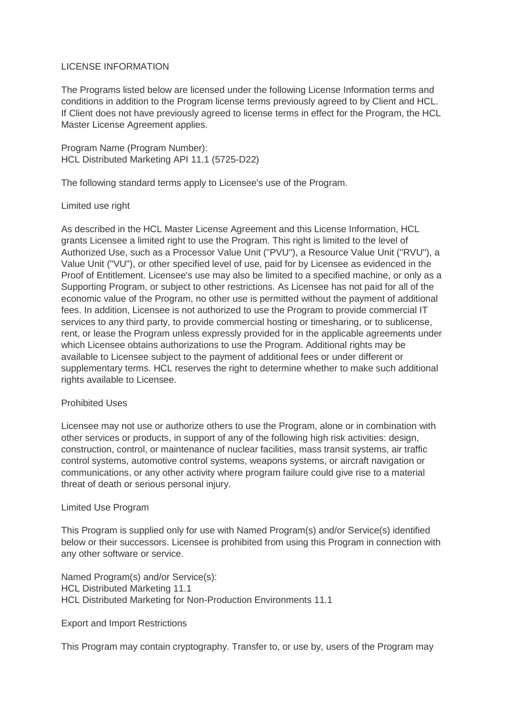# LICENSE INFORMATION

The Programs listed below are licensed under the following License Information terms and conditions in addition to the Program license terms previously agreed to by Client and HCL. If Client does not have previously agreed to license terms in effect for the Program, the HCL Master License Agreement applies.

Program Name (Program Number): HCL Distributed Marketing API 11.1 (5725-D22)

The following standard terms apply to Licensee's use of the Program.

## Limited use right

As described in the HCL Master License Agreement and this License Information, HCL grants Licensee a limited right to use the Program. This right is limited to the level of Authorized Use, such as a Processor Value Unit ("PVU"), a Resource Value Unit ("RVU"), a Value Unit ("VU"), or other specified level of use, paid for by Licensee as evidenced in the Proof of Entitlement. Licensee's use may also be limited to a specified machine, or only as a Supporting Program, or subject to other restrictions. As Licensee has not paid for all of the economic value of the Program, no other use is permitted without the payment of additional fees. In addition, Licensee is not authorized to use the Program to provide commercial IT services to any third party, to provide commercial hosting or timesharing, or to sublicense, rent, or lease the Program unless expressly provided for in the applicable agreements under which Licensee obtains authorizations to use the Program. Additional rights may be available to Licensee subject to the payment of additional fees or under different or supplementary terms. HCL reserves the right to determine whether to make such additional rights available to Licensee.

### Prohibited Uses

Licensee may not use or authorize others to use the Program, alone or in combination with other services or products, in support of any of the following high risk activities: design, construction, control, or maintenance of nuclear facilities, mass transit systems, air traffic control systems, automotive control systems, weapons systems, or aircraft navigation or communications, or any other activity where program failure could give rise to a material threat of death or serious personal injury.

### Limited Use Program

This Program is supplied only for use with Named Program(s) and/or Service(s) identified below or their successors. Licensee is prohibited from using this Program in connection with any other software or service.

Named Program(s) and/or Service(s): HCL Distributed Marketing 11.1 HCL Distributed Marketing for Non-Production Environments 11.1

### Export and Import Restrictions

This Program may contain cryptography. Transfer to, or use by, users of the Program may